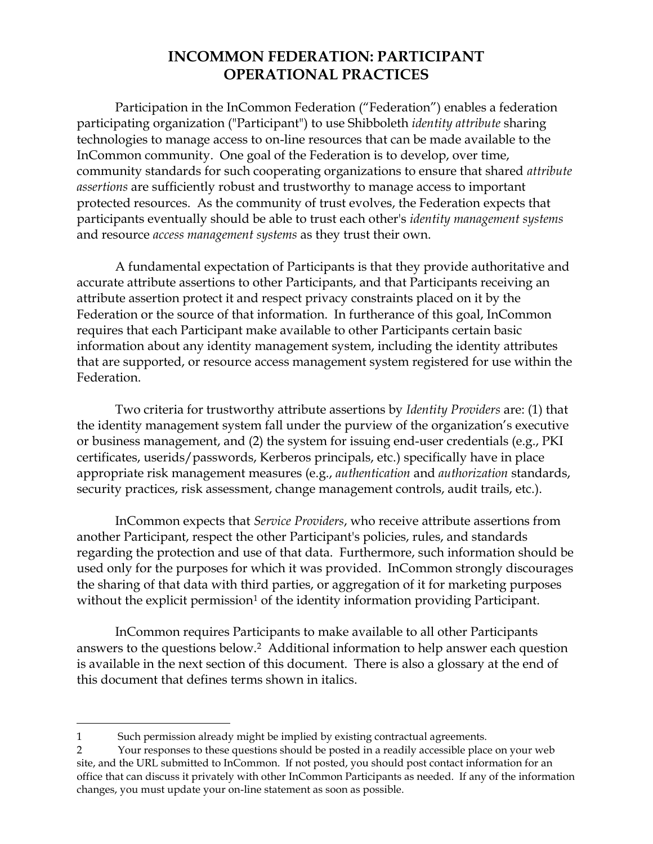## **INCOMMON FEDERATION: PARTICIPANT OPERATIONAL PRACTICES**

Participation in the InCommon Federation ("Federation") enables a federation participating organization ("Participant") to use Shibboleth *identity attribute* sharing technologies to manage access to on-line resources that can be made available to the InCommon community. One goal of the Federation is to develop, over time, community standards for such cooperating organizations to ensure that shared *attribute assertions* are sufficiently robust and trustworthy to manage access to important protected resources. As the community of trust evolves, the Federation expects that participants eventually should be able to trust each other's *identity management systems* and resource *access management systems* as they trust their own.

A fundamental expectation of Participants is that they provide authoritative and accurate attribute assertions to other Participants, and that Participants receiving an attribute assertion protect it and respect privacy constraints placed on it by the Federation or the source of that information. In furtherance of this goal, InCommon requires that each Participant make available to other Participants certain basic information about any identity management system, including the identity attributes that are supported, or resource access management system registered for use within the Federation.

Two criteria for trustworthy attribute assertions by *Identity Providers* are: (1) that the identity management system fall under the purview of the organization's executive or business management, and (2) the system for issuing end-user credentials (e.g., PKI certificates, userids/passwords, Kerberos principals, etc.) specifically have in place appropriate risk management measures (e.g., *authentication* and *authorization* standards, security practices, risk assessment, change management controls, audit trails, etc.).

InCommon expects that *Service Providers*, who receive attribute assertions from another Participant, respect the other Participant's policies, rules, and standards regarding the protection and use of that data. Furthermore, such information should be used only for the purposes for which it was provided. InCommon strongly discourages the sharing of that data with third parties, or aggregation of it for marketing purposes without the explicit permission<sup>1</sup> of the identity information providing Participant.

InCommon requires Participants to make available to all other Participants answers to the questions below.2 Additional information to help answer each question is available in the next section of this document. There is also a glossary at the end of this document that defines terms shown in italics.

 $\overline{a}$ 

<sup>1</sup> Such permission already might be implied by existing contractual agreements.

<sup>2</sup> Your responses to these questions should be posted in a readily accessible place on your web site, and the URL submitted to InCommon. If not posted, you should post contact information for an office that can discuss it privately with other InCommon Participants as needed. If any of the information changes, you must update your on-line statement as soon as possible.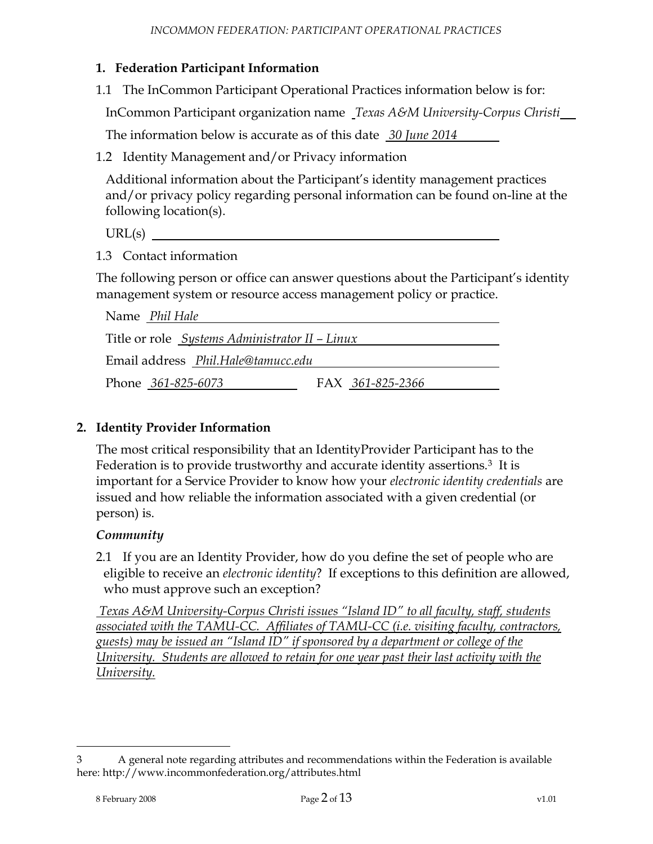#### **1. Federation Participant Information**

1.1 The InCommon Participant Operational Practices information below is for:

InCommon Participant organization name *Texas A&M University-Corpus Christi*

The information below is accurate as of this date *30 June 2014*

<span id="page-1-0"></span>1.2 Identity Management and/or Privacy information

Additional information about the Participant's identity management practices and/or privacy policy regarding personal information can be found on-line at the following location(s).

 $URL(s)$ 

<span id="page-1-1"></span>1.3 Contact information

The following person or office can answer questions about the Participant's identity management system or resource access management policy or practice.

| Name Phil Hale                                        |                  |  |
|-------------------------------------------------------|------------------|--|
| Title or role <i>Systems Administrator II – Linux</i> |                  |  |
| Email address Phil.Hale@tamucc.edu                    |                  |  |
| Phone 361-825-6073                                    | FAX 361-825-2366 |  |

#### <span id="page-1-2"></span>**2. Identity Provider Information**

The most critical responsibility that an IdentityProvider Participant has to the Federation is to provide trustworthy and accurate identity assertions.<sup>3</sup> It is important for a Service Provider to know how your *electronic identity credentials* are issued and how reliable the information associated with a given credential (or person) is.

#### *Community*

<span id="page-1-3"></span>2.1 If you are an Identity Provider, how do you define the set of people who are eligible to receive an *electronic identity*? If exceptions to this definition are allowed, who must approve such an exception?

*Texas A&M University-Corpus Christi issues "Island ID" to all faculty, staff, students associated with the TAMU-CC. Affiliates of TAMU-CC (i.e. visiting faculty, contractors, guests) may be issued an "Island ID" if sponsored by a department or college of the University. Students are allowed to retain for one year past their last activity with the University.*

 $\overline{a}$ 

<sup>3</sup> A general note regarding attributes and recommendations within the Federation is available here: http://www.incommonfederation.org/attributes.html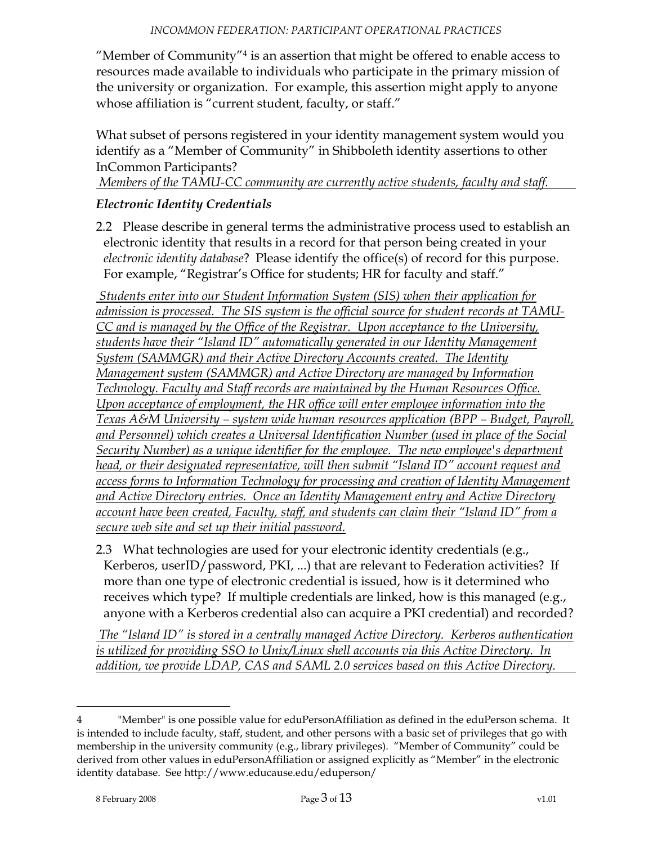<span id="page-2-0"></span>"Member of Community"<sup>4</sup> is an assertion that might be offered to enable access to resources made available to individuals who participate in the primary mission of the university or organization. For example, this assertion might apply to anyone whose affiliation is "current student, faculty, or staff."

What subset of persons registered in your identity management system would you identify as a "Member of Community" in Shibboleth identity assertions to other InCommon Participants?

*Members of the TAMU-CC community are currently active students, faculty and staff.*

### *Electronic Identity Credentials*

<span id="page-2-1"></span>2.2 Please describe in general terms the administrative process used to establish an electronic identity that results in a record for that person being created in your *electronic identity database*? Please identify the office(s) of record for this purpose. For example, "Registrar's Office for students; HR for faculty and staff."

*Students enter into our Student Information System (SIS) when their application for*  admission is processed. The SIS system is the official source for student records at TAMU-*CC and is managed by the Office of the Registrar. Upon acceptance to the University, students have their "Island ID" automatically generated in our Identity Management System (SAMMGR) and their Active Directory Accounts created. The Identity Management system (SAMMGR) and Active Directory are managed by Information Technology. Faculty and Staff records are maintained by the Human Resources Office. Upon acceptance of employment, the HR office will enter employee information into the Texas A&M University – system wide human resources application (BPP – Budget, Payroll, and Personnel) which creates a Universal Identification Number (used in place of the Social Security Number) as a unique identifier for the employee. The new employee's department head, or their designated representative, will then submit "Island ID" account request and access forms to Information Technology for processing and creation of Identity Management and Active Directory entries. Once an Identity Management entry and Active Directory account have been created, Faculty, staff, and students can claim their "Island ID" from a secure web site and set up their initial password.*

<span id="page-2-2"></span>2.3 What technologies are used for your electronic identity credentials (e.g., Kerberos, userID/password, PKI, ...) that are relevant to Federation activities? If more than one type of electronic credential is issued, how is it determined who receives which type? If multiple credentials are linked, how is this managed (e.g., anyone with a Kerberos credential also can acquire a PKI credential) and recorded?

*The "Island ID" is stored in a centrally managed Active Directory. Kerberos authentication is utilized for providing SSO to Unix/Linux shell accounts via this Active Directory. In addition, we provide LDAP, CAS and SAML 2.0 services based on this Active Directory.*

 $\overline{a}$ 

<sup>4</sup> "Member" is one possible value for eduPersonAffiliation as defined in the eduPerson schema. It is intended to include faculty, staff, student, and other persons with a basic set of privileges that go with membership in the university community (e.g., library privileges). "Member of Community" could be derived from other values in eduPersonAffiliation or assigned explicitly as "Member" in the electronic identity database. See http://www.educause.edu/eduperson/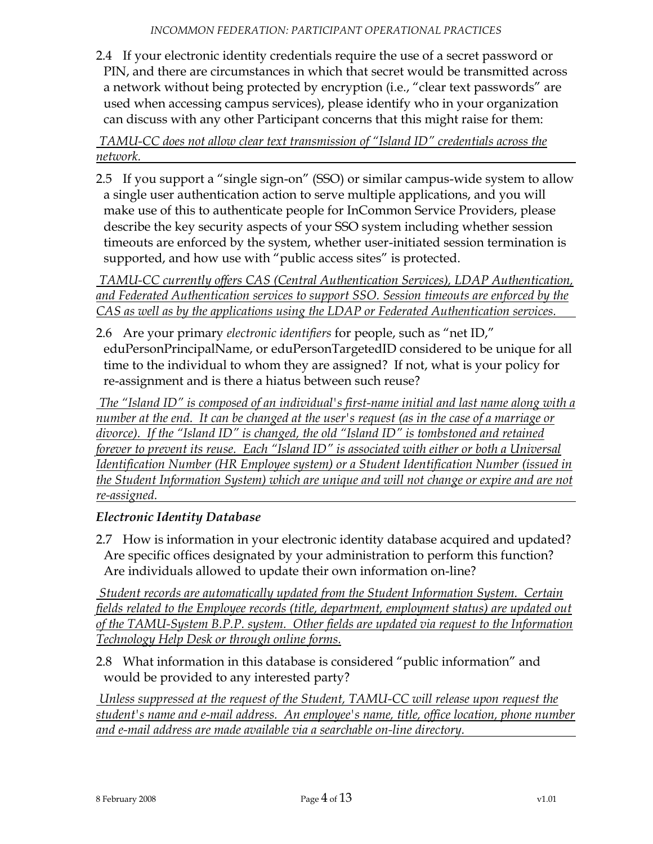<span id="page-3-0"></span>2.4 If your electronic identity credentials require the use of a secret password or PIN, and there are circumstances in which that secret would be transmitted across a network without being protected by encryption (i.e., "clear text passwords" are used when accessing campus services), please identify who in your organization can discuss with any other Participant concerns that this might raise for them:

*TAMU-CC does not allow clear text transmission of "Island ID" credentials across the network.*

<span id="page-3-1"></span>2.5 If you support a "single sign-on" (SSO) or similar campus-wide system to allow a single user authentication action to serve multiple applications, and you will make use of this to authenticate people for InCommon Service Providers, please describe the key security aspects of your SSO system including whether session timeouts are enforced by the system, whether user-initiated session termination is supported, and how use with "public access sites" is protected.

*TAMU-CC currently offers CAS (Central Authentication Services), LDAP Authentication, and Federated Authentication services to support SSO. Session timeouts are enforced by the CAS as well as by the applications using the LDAP or Federated Authentication services.*

<span id="page-3-2"></span>2.6 Are your primary *electronic identifiers* for people, such as "net ID," eduPersonPrincipalName, or eduPersonTargetedID considered to be unique for all time to the individual to whom they are assigned? If not, what is your policy for re-assignment and is there a hiatus between such reuse?

*The "Island ID" is composed of an individual's first-name initial and last name along with a number at the end. It can be changed at the user's request (as in the case of a marriage or divorce). If the "Island ID" is changed, the old "Island ID" is tombstoned and retained forever to prevent its reuse. Each "Island ID" is associated with either or both a Universal Identification Number (HR Employee system) or a Student Identification Number (issued in the Student Information System) which are unique and will not change or expire and are not re-assigned.* 

## *Electronic Identity Database*

<span id="page-3-3"></span>2.7 How is information in your electronic identity database acquired and updated? Are specific offices designated by your administration to perform this function? Are individuals allowed to update their own information on-line?

*Student records are automatically updated from the Student Information System. Certain fields related to the Employee records (title, department, employment status) are updated out of the TAMU-System B.P.P. system. Other fields are updated via request to the Information Technology Help Desk or through online forms.*

<span id="page-3-4"></span>2.8 What information in this database is considered "public information" and would be provided to any interested party?

*Unless suppressed at the request of the Student, TAMU-CC will release upon request the student's name and e-mail address. An employee's name, title, office location, phone number and e-mail address are made available via a searchable on-line directory.*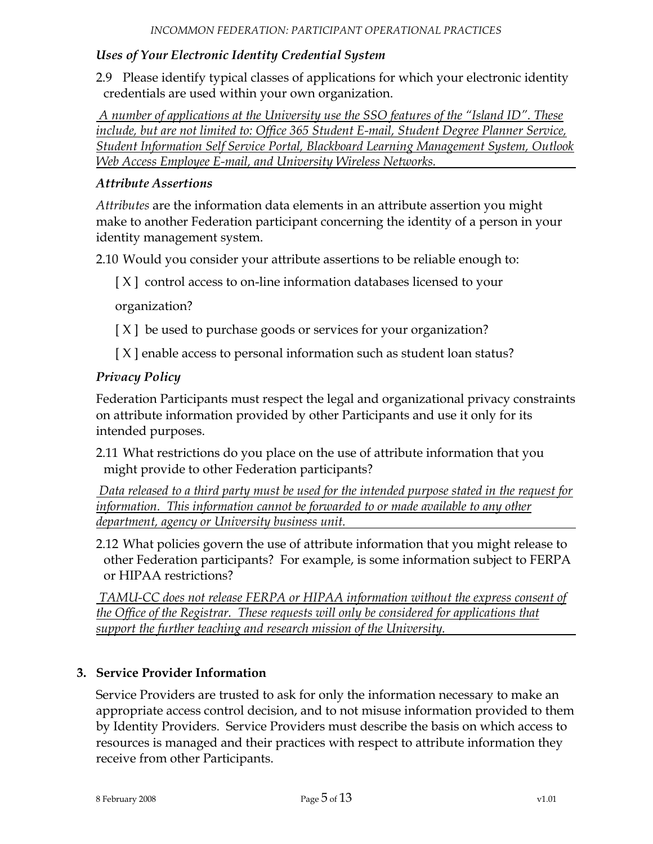#### *Uses of Your Electronic Identity Credential System*

<span id="page-4-0"></span>2.9 Please identify typical classes of applications for which your electronic identity credentials are used within your own organization.

*A number of applications at the University use the SSO features of the "Island ID". These include, but are not limited to: Office 365 Student E-mail, Student Degree Planner Service, Student Information Self Service Portal, Blackboard Learning Management System, Outlook Web Access Employee E-mail, and University Wireless Networks.*

#### *Attribute Assertions*

*Attributes* are the information data elements in an attribute assertion you might make to another Federation participant concerning the identity of a person in your identity management system.

<span id="page-4-1"></span>2.10 Would you consider your attribute assertions to be reliable enough to:

[X] control access to on-line information databases licensed to your

organization?

- [ $X$ ] be used to purchase goods or services for your organization?
- [ X ] enable access to personal information such as student loan status?

#### *Privacy Policy*

Federation Participants must respect the legal and organizational privacy constraints on attribute information provided by other Participants and use it only for its intended purposes.

<span id="page-4-2"></span>2.11 What restrictions do you place on the use of attribute information that you might provide to other Federation participants?

*Data released to a third party must be used for the intended purpose stated in the request for information. This information cannot be forwarded to or made available to any other department, agency or University business unit.*

<span id="page-4-3"></span>2.12 What policies govern the use of attribute information that you might release to other Federation participants? For example, is some information subject to FERPA or HIPAA restrictions?

*TAMU-CC does not release FERPA or HIPAA information without the express consent of the Office of the Registrar. These requests will only be considered for applications that support the further teaching and research mission of the University.*

#### **3. Service Provider Information**

Service Providers are trusted to ask for only the information necessary to make an appropriate access control decision, and to not misuse information provided to them by Identity Providers. Service Providers must describe the basis on which access to resources is managed and their practices with respect to attribute information they receive from other Participants.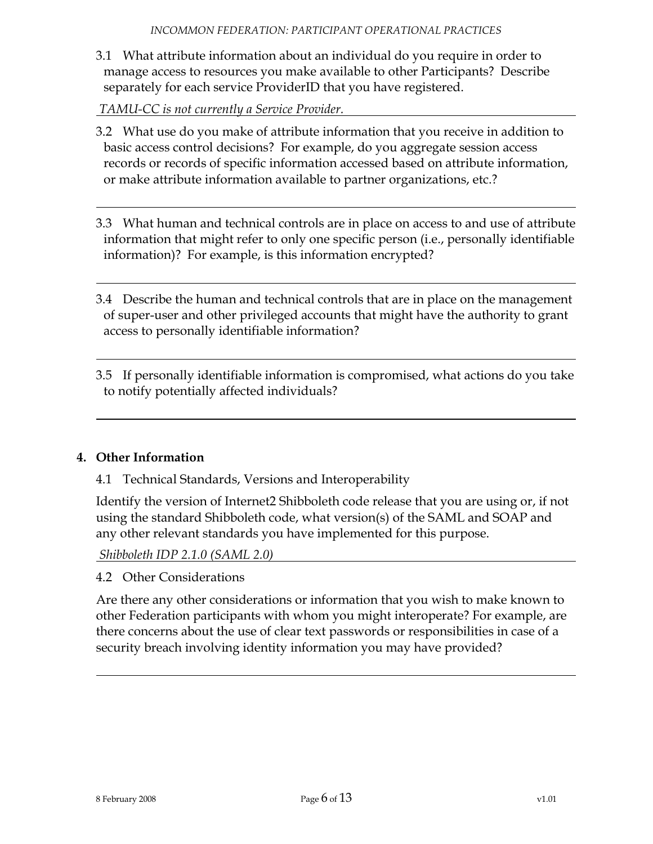<span id="page-5-0"></span>3.1 What attribute information about an individual do you require in order to manage access to resources you make available to other Participants? Describe separately for each service ProviderID that you have registered.

*TAMU-CC is not currently a Service Provider.*

- <span id="page-5-1"></span>3.2 What use do you make of attribute information that you receive in addition to basic access control decisions? For example, do you aggregate session access records or records of specific information accessed based on attribute information, or make attribute information available to partner organizations, etc.?
- <span id="page-5-2"></span>3.3 What human and technical controls are in place on access to and use of attribute information that might refer to only one specific person (i.e., personally identifiable information)? For example, is this information encrypted?
- <span id="page-5-3"></span>3.4 Describe the human and technical controls that are in place on the management of super-user and other privileged accounts that might have the authority to grant access to personally identifiable information?
- <span id="page-5-4"></span>3.5 If personally identifiable information is compromised, what actions do you take to notify potentially affected individuals?

### <span id="page-5-5"></span>**4. Other Information**

4.1 Technical Standards, Versions and Interoperability

Identify the version of Internet2 Shibboleth code release that you are using or, if not using the standard Shibboleth code, what version(s) of the SAML and SOAP and any other relevant standards you have implemented for this purpose.

*Shibboleth IDP 2.1.0 (SAML 2.0)*

<span id="page-5-6"></span>4.2 Other Considerations

Are there any other considerations or information that you wish to make known to other Federation participants with whom you might interoperate? For example, are there concerns about the use of clear text passwords or responsibilities in case of a security breach involving identity information you may have provided?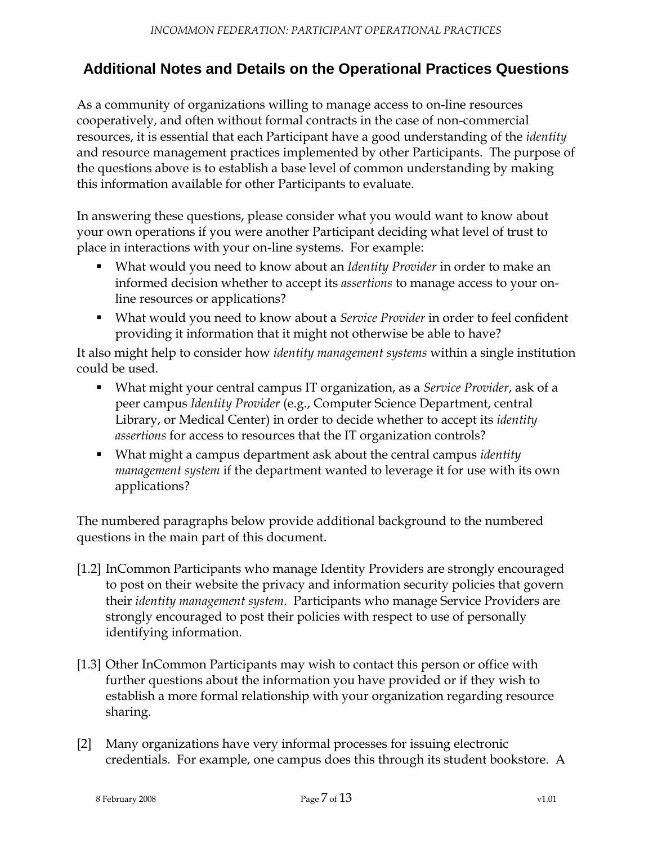# **Additional Notes and Details on the Operational Practices Questions**

As a community of organizations willing to manage access to on-line resources cooperatively, and often without formal contracts in the case of non-commercial resources, it is essential that each Participant have a good understanding of the *identity* and resource management practices implemented by other Participants. The purpose of the questions above is to establish a base level of common understanding by making this information available for other Participants to evaluate.

In answering these questions, please consider what you would want to know about your own operations if you were another Participant deciding what level of trust to place in interactions with your on-line systems. For example:

- What would you need to know about an *Identity Provider* in order to make an informed decision whether to accept its *assertions* to manage access to your online resources or applications?
- What would you need to know about a *Service Provider* in order to feel confident providing it information that it might not otherwise be able to have?

It also might help to consider how *identity management systems* within a single institution could be used.

- What might your central campus IT organization, as a *Service Provider*, ask of a peer campus *Identity Provider* (e.g., Computer Science Department, central Library, or Medical Center) in order to decide whether to accept its *identity assertions* for access to resources that the IT organization controls?
- What might a campus department ask about the central campus *identity management system* if the department wanted to leverage it for use with its own applications?

The numbered paragraphs below provide additional background to the numbered questions in the main part of this document.

- [\[1.2\]](#page-1-0) InCommon Participants who manage Identity Providers are strongly encouraged to post on their website the privacy and information security policies that govern their *identity management system*. Participants who manage Service Providers are strongly encouraged to post their policies with respect to use of personally identifying information.
- [\[1.3\]](#page-1-1) Other InCommon Participants may wish to contact this person or office with further questions about the information you have provided or if they wish to establish a more formal relationship with your organization regarding resource sharing.
- [\[2\]](#page-1-2) Many organizations have very informal processes for issuing electronic credentials. For example, one campus does this through its student bookstore. A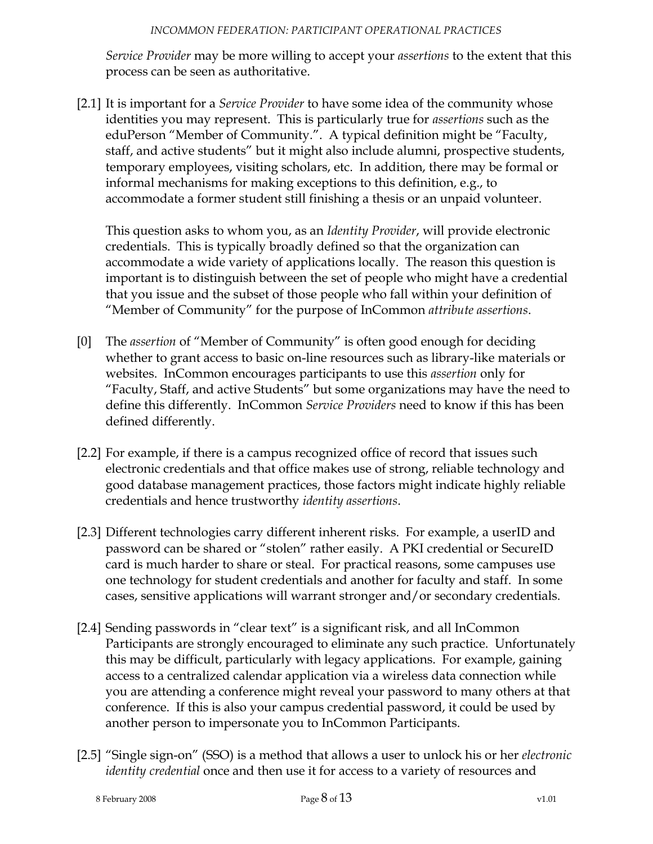*Service Provider* may be more willing to accept your *assertions* to the extent that this process can be seen as authoritative.

[\[2.1\]](#page-1-3) It is important for a *Service Provider* to have some idea of the community whose identities you may represent. This is particularly true for *assertions* such as the eduPerson "Member of Community.". A typical definition might be "Faculty, staff, and active students" but it might also include alumni, prospective students, temporary employees, visiting scholars, etc. In addition, there may be formal or informal mechanisms for making exceptions to this definition, e.g., to accommodate a former student still finishing a thesis or an unpaid volunteer.

This question asks to whom you, as an *Identity Provider*, will provide electronic credentials. This is typically broadly defined so that the organization can accommodate a wide variety of applications locally. The reason this question is important is to distinguish between the set of people who might have a credential that you issue and the subset of those people who fall within your definition of "Member of Community" for the purpose of InCommon *attribute assertions*.

- [\[0\]](#page-2-0) The *assertion* of "Member of Community" is often good enough for deciding whether to grant access to basic on-line resources such as library-like materials or websites. InCommon encourages participants to use this *assertion* only for "Faculty, Staff, and active Students" but some organizations may have the need to define this differently. InCommon *Service Providers* need to know if this has been defined differently.
- [\[2.2\]](#page-2-1) For example, if there is a campus recognized office of record that issues such electronic credentials and that office makes use of strong, reliable technology and good database management practices, those factors might indicate highly reliable credentials and hence trustworthy *identity assertions*.
- [\[2.3\]](#page-2-2) Different technologies carry different inherent risks. For example, a userID and password can be shared or "stolen" rather easily. A PKI credential or SecureID card is much harder to share or steal. For practical reasons, some campuses use one technology for student credentials and another for faculty and staff. In some cases, sensitive applications will warrant stronger and/or secondary credentials.
- [\[2.4\]](#page-3-0) Sending passwords in "clear text" is a significant risk, and all InCommon Participants are strongly encouraged to eliminate any such practice. Unfortunately this may be difficult, particularly with legacy applications. For example, gaining access to a centralized calendar application via a wireless data connection while you are attending a conference might reveal your password to many others at that conference. If this is also your campus credential password, it could be used by another person to impersonate you to InCommon Participants.
- [\[2.5\]](#page-3-1) "Single sign-on" (SSO) is a method that allows a user to unlock his or her *electronic identity credential* once and then use it for access to a variety of resources and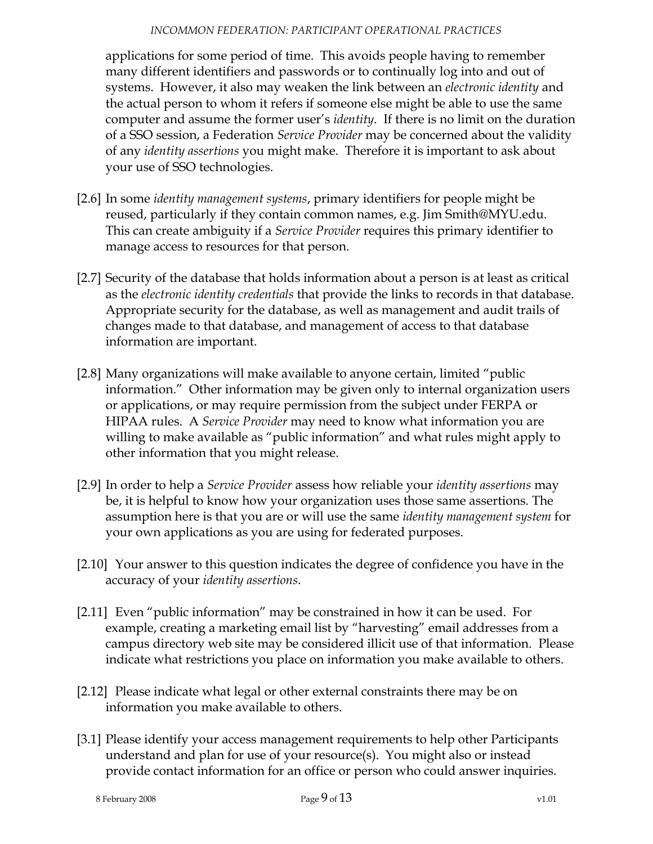#### *INCOMMON FEDERATION: PARTICIPANT OPERATIONAL PRACTICES*

applications for some period of time. This avoids people having to remember many different identifiers and passwords or to continually log into and out of systems. However, it also may weaken the link between an *electronic identity* and the actual person to whom it refers if someone else might be able to use the same computer and assume the former user's *identity*. If there is no limit on the duration of a SSO session, a Federation *Service Provider* may be concerned about the validity of any *identity assertions* you might make. Therefore it is important to ask about your use of SSO technologies.

- [\[2.6\]](#page-3-2) In some *identity management systems*, primary identifiers for people might be reused, particularly if they contain common names, e.g. Jim Smith@MYU.edu. This can create ambiguity if a *Service Provider* requires this primary identifier to manage access to resources for that person.
- [\[2.7\]](#page-3-3) Security of the database that holds information about a person is at least as critical as the *electronic identity credentials* that provide the links to records in that database. Appropriate security for the database, as well as management and audit trails of changes made to that database, and management of access to that database information are important.
- [\[2.8\]](#page-3-4) Many organizations will make available to anyone certain, limited "public information." Other information may be given only to internal organization users or applications, or may require permission from the subject under FERPA or HIPAA rules. A *Service Provider* may need to know what information you are willing to make available as "public information" and what rules might apply to other information that you might release.
- [\[2.9\]](#page-4-0) In order to help a *Service Provider* assess how reliable your *identity assertions* may be, it is helpful to know how your organization uses those same assertions. The assumption here is that you are or will use the same *identity management system* for your own applications as you are using for federated purposes.
- [\[2.10\]](#page-4-1) Your answer to this question indicates the degree of confidence you have in the accuracy of your *identity assertions*.
- [\[2.11\]](#page-4-2) Even "public information" may be constrained in how it can be used. For example, creating a marketing email list by "harvesting" email addresses from a campus directory web site may be considered illicit use of that information. Please indicate what restrictions you place on information you make available to others.
- [\[2.12\]](#page-4-3) Please indicate what legal or other external constraints there may be on information you make available to others.
- [\[3.1\]](#page-5-0) Please identify your access management requirements to help other Participants understand and plan for use of your resource(s). You might also or instead provide contact information for an office or person who could answer inquiries.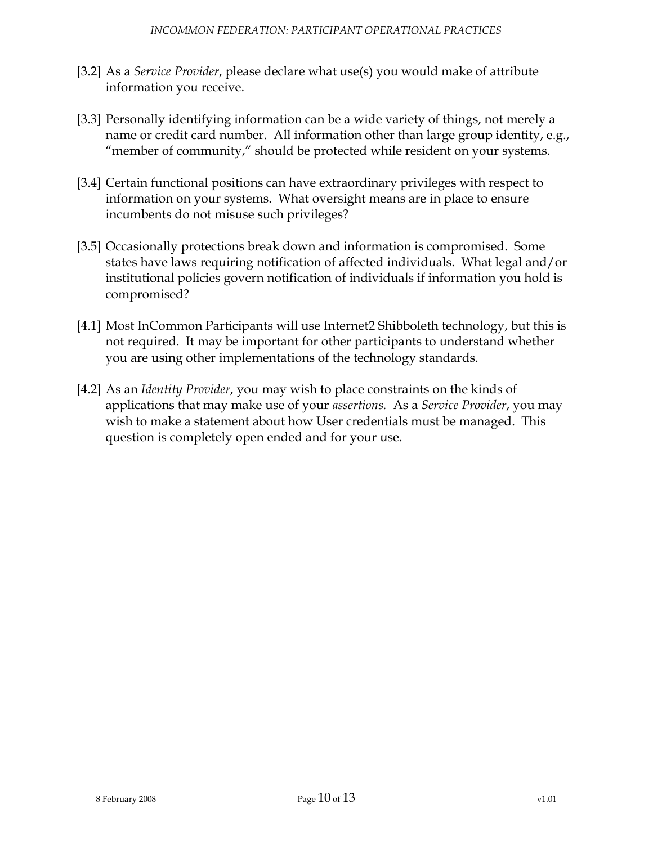- [\[3.2\]](#page-5-1) As a *Service Provider*, please declare what use(s) you would make of attribute information you receive.
- [\[3.3\]](#page-5-2) Personally identifying information can be a wide variety of things, not merely a name or credit card number. All information other than large group identity, e.g., "member of community," should be protected while resident on your systems.
- [\[3.4\]](#page-5-3) Certain functional positions can have extraordinary privileges with respect to information on your systems. What oversight means are in place to ensure incumbents do not misuse such privileges?
- [\[3.5\]](#page-5-4) Occasionally protections break down and information is compromised. Some states have laws requiring notification of affected individuals. What legal and/or institutional policies govern notification of individuals if information you hold is compromised?
- [\[4.1\]](#page-5-5) Most InCommon Participants will use Internet2 Shibboleth technology, but this is not required. It may be important for other participants to understand whether you are using other implementations of the technology standards.
- [\[4.2\]](#page-5-6) As an *Identity Provider*, you may wish to place constraints on the kinds of applications that may make use of your *assertions.* As a *Service Provider*, you may wish to make a statement about how User credentials must be managed. This question is completely open ended and for your use.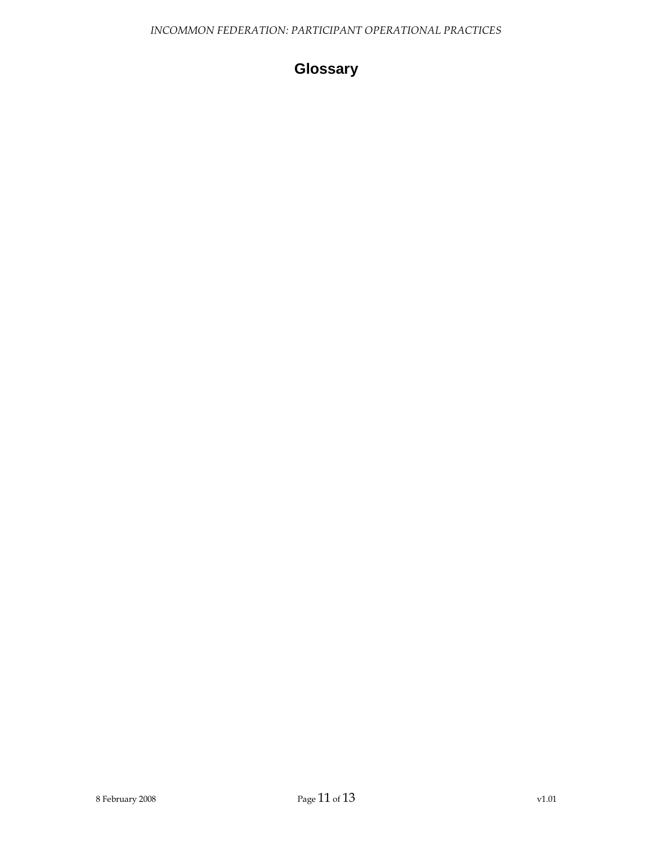# **Glossary**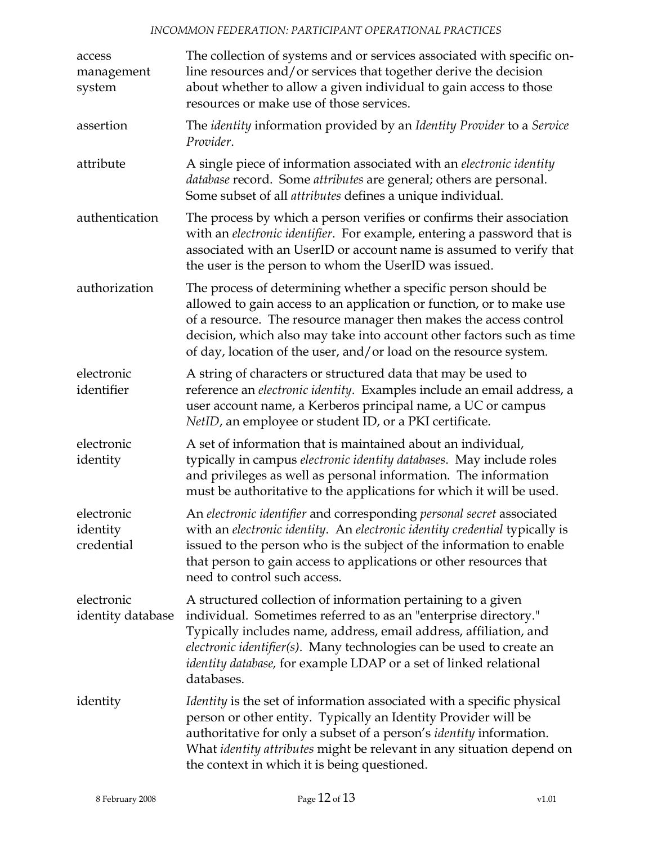#### *INCOMMON FEDERATION: PARTICIPANT OPERATIONAL PRACTICES*

| access<br>management<br>system       | The collection of systems and or services associated with specific on-<br>line resources and/or services that together derive the decision<br>about whether to allow a given individual to gain access to those<br>resources or make use of those services.                                                                                                            |
|--------------------------------------|------------------------------------------------------------------------------------------------------------------------------------------------------------------------------------------------------------------------------------------------------------------------------------------------------------------------------------------------------------------------|
| assertion                            | The identity information provided by an Identity Provider to a Service<br>Provider.                                                                                                                                                                                                                                                                                    |
| attribute                            | A single piece of information associated with an electronic identity<br>database record. Some attributes are general; others are personal.<br>Some subset of all <i>attributes</i> defines a unique individual.                                                                                                                                                        |
| authentication                       | The process by which a person verifies or confirms their association<br>with an electronic identifier. For example, entering a password that is<br>associated with an UserID or account name is assumed to verify that<br>the user is the person to whom the UserID was issued.                                                                                        |
| authorization                        | The process of determining whether a specific person should be<br>allowed to gain access to an application or function, or to make use<br>of a resource. The resource manager then makes the access control<br>decision, which also may take into account other factors such as time<br>of day, location of the user, and/or load on the resource system.              |
| electronic<br>identifier             | A string of characters or structured data that may be used to<br>reference an electronic identity. Examples include an email address, a<br>user account name, a Kerberos principal name, a UC or campus<br>NetID, an employee or student ID, or a PKI certificate.                                                                                                     |
| electronic<br>identity               | A set of information that is maintained about an individual,<br>typically in campus electronic identity databases. May include roles<br>and privileges as well as personal information. The information<br>must be authoritative to the applications for which it will be used.                                                                                        |
| electronic<br>identity<br>credential | An electronic identifier and corresponding personal secret associated<br>with an electronic identity. An electronic identity credential typically is<br>issued to the person who is the subject of the information to enable<br>that person to gain access to applications or other resources that<br>need to control such access.                                     |
| electronic<br>identity database      | A structured collection of information pertaining to a given<br>individual. Sometimes referred to as an "enterprise directory."<br>Typically includes name, address, email address, affiliation, and<br>electronic identifier(s). Many technologies can be used to create an<br><i>identity database,</i> for example LDAP or a set of linked relational<br>databases. |
| identity                             | <i>Identity</i> is the set of information associated with a specific physical<br>person or other entity. Typically an Identity Provider will be<br>authoritative for only a subset of a person's <i>identity</i> information.<br>What <i>identity attributes</i> might be relevant in any situation depend on<br>the context in which it is being questioned.          |